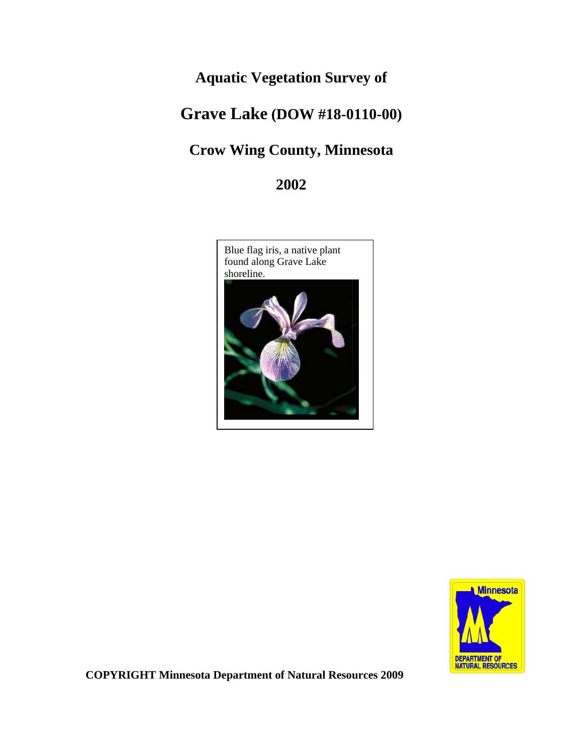# **Aquatic Vegetation Survey of**

# **Grave Lake (DOW #18-0110-00)**

# **Crow Wing County, Minnesota**

**2002**





**COPYRIGHT Minnesota Department of Natural Resources 2009**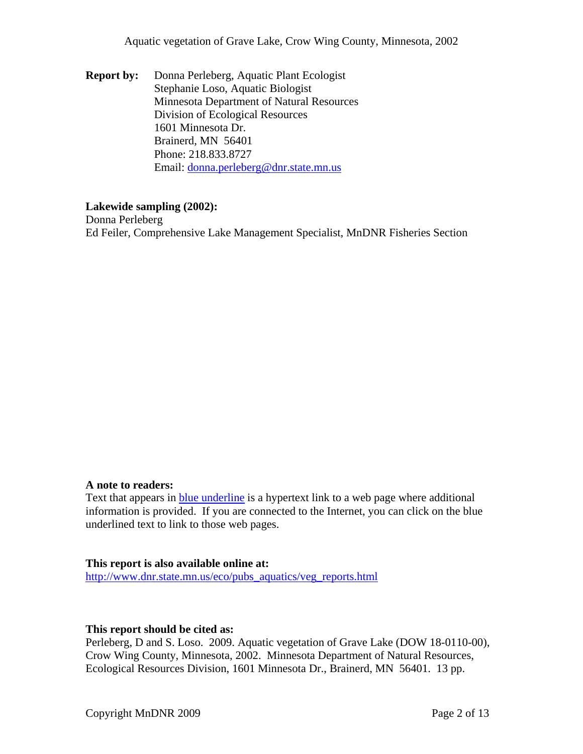**Report by:** Donna Perleberg, Aquatic Plant Ecologist Stephanie Loso, Aquatic Biologist Minnesota Department of Natural Resources Division of Ecological Resources 1601 Minnesota Dr. Brainerd, MN 56401 Phone: 218.833.8727 Email: [donna.perleberg@dnr.state.mn.us](mailto:donna.perleberg@dnr.state.mn.us)

#### **Lakewide sampling (2002):**

Donna Perleberg Ed Feiler, Comprehensive Lake Management Specialist, MnDNR Fisheries Section

#### **A note to readers:**

Text that appears in blue underline is a hypertext link to a web page where additional information is provided. If you are connected to the Internet, you can click on the blue underlined text to link to those web pages.

#### **This report is also available online at:**

[http://www.dnr.state.mn.us/eco/pubs\\_aquatics/veg\\_reports.html](http://www.dnr.state.mn.us/eco/pubs_aquatics/veg_reports.html)

#### **This report should be cited as:**

Perleberg, D and S. Loso. 2009. Aquatic vegetation of Grave Lake (DOW 18-0110-00), Crow Wing County, Minnesota, 2002. Minnesota Department of Natural Resources, Ecological Resources Division, 1601 Minnesota Dr., Brainerd, MN 56401. 13 pp.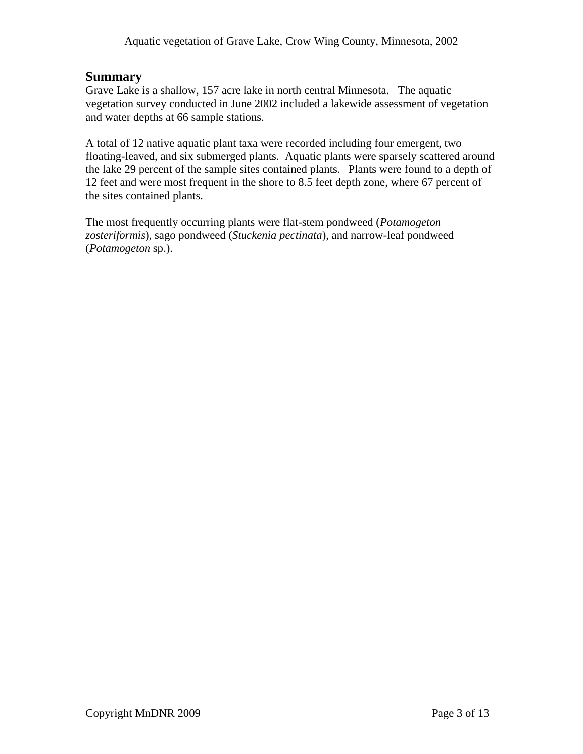# **Summary**

Grave Lake is a shallow, 157 acre lake in north central Minnesota. The aquatic vegetation survey conducted in June 2002 included a lakewide assessment of vegetation and water depths at 66 sample stations.

A total of 12 native aquatic plant taxa were recorded including four emergent, two floating-leaved, and six submerged plants. Aquatic plants were sparsely scattered around the lake 29 percent of the sample sites contained plants. Plants were found to a depth of 12 feet and were most frequent in the shore to 8.5 feet depth zone, where 67 percent of the sites contained plants.

The most frequently occurring plants were flat-stem pondweed (*Potamogeton zosteriformis*), sago pondweed (*Stuckenia pectinata*), and narrow-leaf pondweed (*Potamogeton* sp.).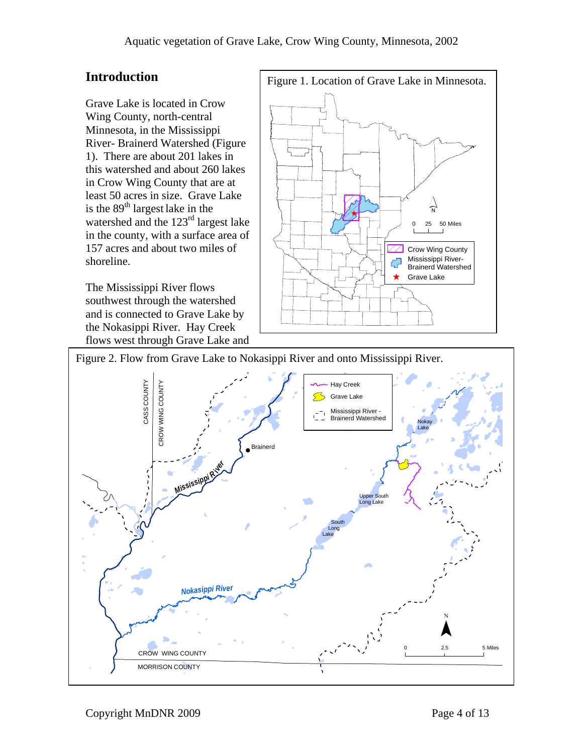Grave Lake is located in Crow Wing County, north-central Minnesota, in the Mississippi River- Brainerd Watershed (Figure 1). There are about 201 lakes in this watershed and about 260 lakes in Crow Wing County that are at least 50 acres in size. Grave Lake is the 89<sup>th</sup> largest lake in the watershed and the 123<sup>rd</sup> largest lake in the county, with a surface area of 157 acres and about two miles of shoreline.

The Mississippi River flows southwest through the watershed and is connected to Grave Lake by the Nokasippi River. Hay Creek flows west through Grave Lake and



Figure 2. Flow from Grave Lake to Nokasippi River and onto Mississippi River.

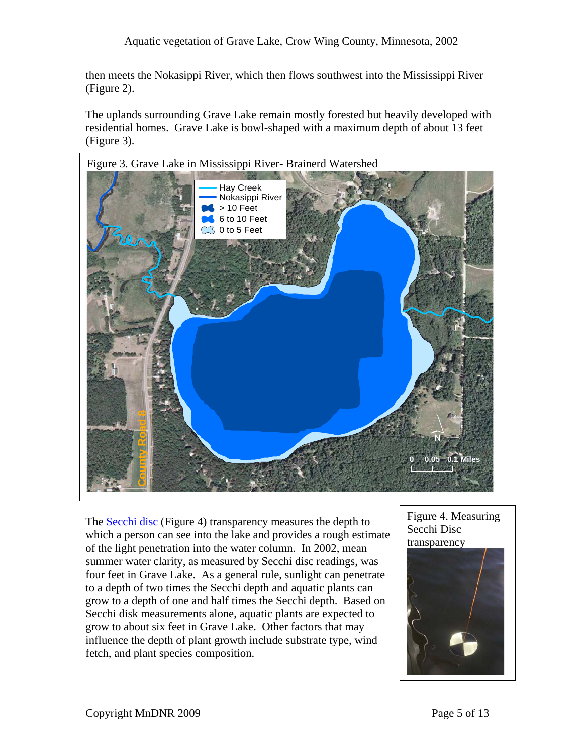then meets the Nokasippi River, which then flows southwest into the Mississippi River (Figure 2).

The uplands surrounding Grave Lake remain mostly forested but heavily developed with residential homes. Grave Lake is bowl-shaped with a maximum depth of about 13 feet (Figure 3).



The [Secchi disc](http://www.pca.state.mn.us/water/secchi-slideshow.html) (Figure 4) transparency measures the depth to which a person can see into the lake and provides a rough estimate of the light penetration into the water column. In 2002, mean summer water clarity, as measured by Secchi disc readings, was four feet in Grave Lake. As a general rule, sunlight can penetrate to a depth of two times the Secchi depth and aquatic plants can grow to a depth of one and half times the Secchi depth. Based on Secchi disk measurements alone, aquatic plants are expected to grow to about six feet in Grave Lake. Other factors that may influence the depth of plant growth include substrate type, wind fetch, and plant species composition.

Figure 4. Measuring Secchi Disc transparency

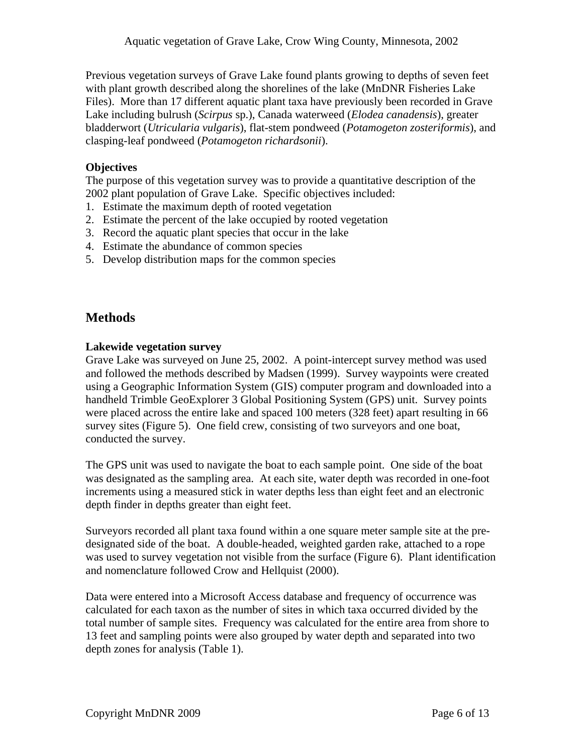Previous vegetation surveys of Grave Lake found plants growing to depths of seven feet with plant growth described along the shorelines of the lake (MnDNR Fisheries Lake Files). More than 17 different aquatic plant taxa have previously been recorded in Grave Lake including bulrush (*Scirpus* sp.), Canada waterweed (*Elodea canadensis*), greater bladderwort (*Utricularia vulgaris*), flat-stem pondweed (*Potamogeton zosteriformis*), and clasping-leaf pondweed (*Potamogeton richardsonii*).

# **Objectives**

The purpose of this vegetation survey was to provide a quantitative description of the 2002 plant population of Grave Lake. Specific objectives included:

- 1. Estimate the maximum depth of rooted vegetation
- 2. Estimate the percent of the lake occupied by rooted vegetation
- 3. Record the aquatic plant species that occur in the lake
- 4. Estimate the abundance of common species
- 5. Develop distribution maps for the common species

# **Methods**

## **Lakewide vegetation survey**

Grave Lake was surveyed on June 25, 2002. A point-intercept survey method was used and followed the methods described by Madsen (1999). Survey waypoints were created using a Geographic Information System (GIS) computer program and downloaded into a handheld Trimble GeoExplorer 3 Global Positioning System (GPS) unit. Survey points were placed across the entire lake and spaced 100 meters (328 feet) apart resulting in 66 survey sites (Figure 5). One field crew, consisting of two surveyors and one boat, conducted the survey.

The GPS unit was used to navigate the boat to each sample point. One side of the boat was designated as the sampling area. At each site, water depth was recorded in one-foot increments using a measured stick in water depths less than eight feet and an electronic depth finder in depths greater than eight feet.

Surveyors recorded all plant taxa found within a one square meter sample site at the predesignated side of the boat. A double-headed, weighted garden rake, attached to a rope was used to survey vegetation not visible from the surface (Figure 6). Plant identification and nomenclature followed Crow and Hellquist (2000).

Data were entered into a Microsoft Access database and frequency of occurrence was calculated for each taxon as the number of sites in which taxa occurred divided by the total number of sample sites. Frequency was calculated for the entire area from shore to 13 feet and sampling points were also grouped by water depth and separated into two depth zones for analysis (Table 1).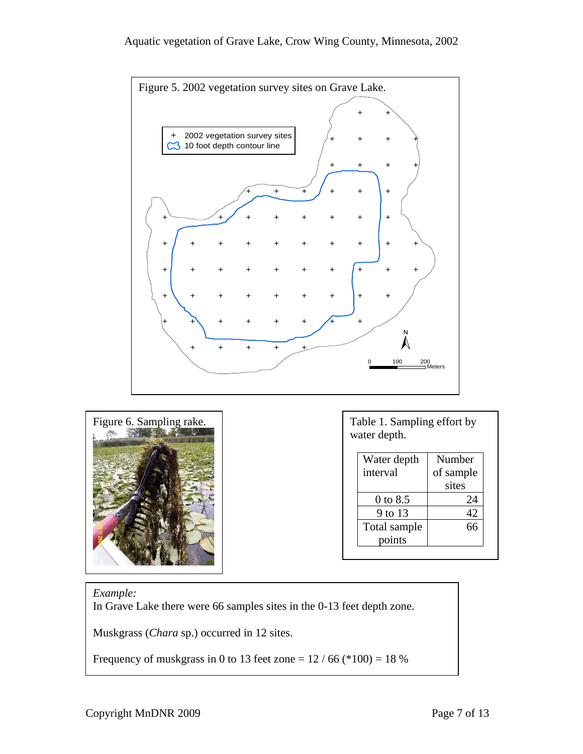



water depth.

| Water depth  | Number    |
|--------------|-----------|
| interval     | of sample |
|              | sites     |
| 0 to 8.5     | 24        |
| 9 to 13      |           |
| Total sample |           |
| points       |           |

## *Example:*

In Grave Lake there were 66 samples sites in the 0-13 feet depth zone.

Muskgrass (*Chara* sp.) occurred in 12 sites.

Frequency of muskgrass in 0 to 13 feet zone =  $12 / 66$  (\*100) = 18 %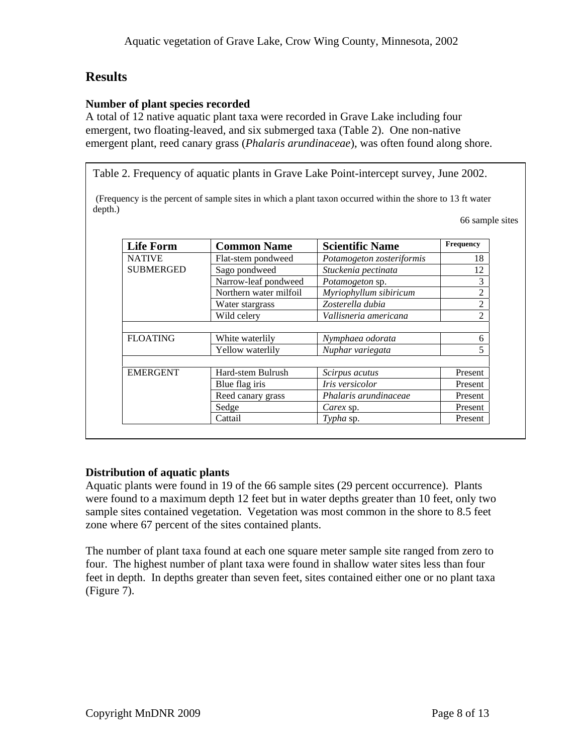# **Results**

#### **Number of plant species recorded**

A total of 12 native aquatic plant taxa were recorded in Grave Lake including four emergent, two floating-leaved, and six submerged taxa (Table 2). One non-native emergent plant, reed canary grass (*Phalaris arundinaceae*), was often found along shore.

Table 2. Frequency of aquatic plants in Grave Lake Point-intercept survey, June 2002.

(Frequency is the percent of sample sites in which a plant taxon occurred within the shore to 13 ft water depth.)

66 sample sites

| <b>Life Form</b> | <b>Common Name</b>     | <b>Scientific Name</b>    | <b>Frequency</b> |
|------------------|------------------------|---------------------------|------------------|
| <b>NATIVE</b>    | Flat-stem pondweed     | Potamogeton zosteriformis | 18               |
| <b>SUBMERGED</b> | Sago pondweed          | Stuckenia pectinata       | 12               |
|                  | Narrow-leaf pondweed   | Potamogeton sp.           | 3                |
|                  | Northern water milfoil | Myriophyllum sibiricum    | $\overline{2}$   |
|                  | Water stargrass        | Zosterella dubia          | 2                |
|                  | Wild celery            | Vallisneria americana     | $\mathfrak{D}$   |
|                  |                        |                           |                  |
| <b>FLOATING</b>  | White waterlily        | Nymphaea odorata          | 6                |
|                  | Yellow waterlily       | Nuphar variegata          |                  |
| <b>EMERGENT</b>  | Hard-stem Bulrush      | Scirpus acutus            | Present          |
|                  | Blue flag iris         | <i>Iris</i> versicolor    | Present          |
|                  | Reed canary grass      | Phalaris arundinaceae     | Present          |
|                  |                        |                           | Present          |
|                  | Sedge                  | Carex sp.                 |                  |

## **Distribution of aquatic plants**

Aquatic plants were found in 19 of the 66 sample sites (29 percent occurrence). Plants were found to a maximum depth 12 feet but in water depths greater than 10 feet, only two sample sites contained vegetation. Vegetation was most common in the shore to 8.5 feet zone where 67 percent of the sites contained plants.

The number of plant taxa found at each one square meter sample site ranged from zero to four. The highest number of plant taxa were found in shallow water sites less than four feet in depth. In depths greater than seven feet, sites contained either one or no plant taxa (Figure 7).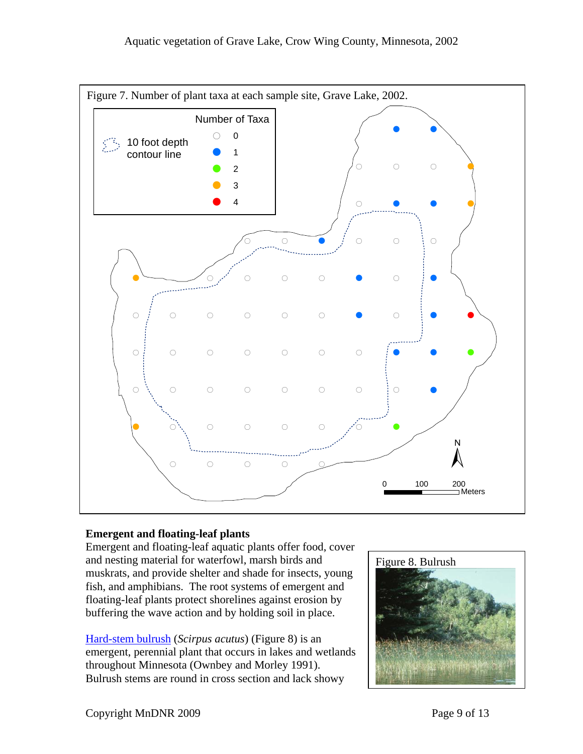

# **Emergent and floating-leaf plants**

Emergent and floating-leaf aquatic plants offer food, cover and nesting material for waterfowl, marsh birds and muskrats, and provide shelter and shade for insects, young fish, and amphibians. The root systems of emergent and floating-leaf plants protect shorelines against erosion by buffering the wave action and by holding soil in place.

[Hard-stem bulrush](http://www.dnr.state.mn.us/aquatic_plants/emergent_plants/bulrushes.html) (*Scirpus acutus*) (Figure 8) is an emergent, perennial plant that occurs in lakes and wetlands throughout Minnesota (Ownbey and Morley 1991). Bulrush stems are round in cross section and lack showy

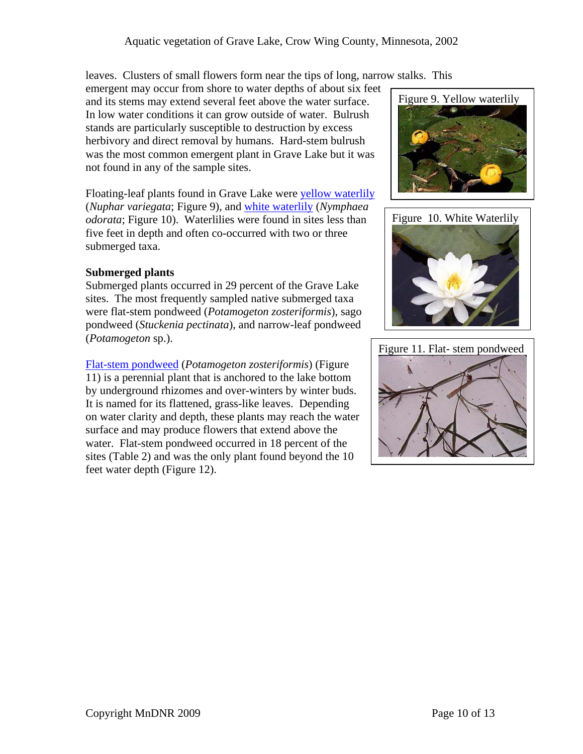leaves. Clusters of small flowers form near the tips of long, narrow stalks. This

emergent may occur from shore to water depths of about six feet and its stems may extend several feet above the water surface. In low water conditions it can grow outside of water. Bulrush stands are particularly susceptible to destruction by excess herbivory and direct removal by humans. Hard-stem bulrush was the most common emergent plant in Grave Lake but it was not found in any of the sample sites.

Floating-leaf plants found in Grave Lake were [yellow waterlily](http://www.dnr.state.mn.us/aquatic_plants/floatingleaf_plants/spatterdock.html) (*Nuphar variegata*; Figure 9), and [white waterlily](http://www.dnr.state.mn.us/aquatic_plants/floatingleaf_plants/white_water_lily.html) (*Nymphaea odorata*; Figure 10). Waterlilies were found in sites less than five feet in depth and often co-occurred with two or three submerged taxa.

## **Submerged plants**

Submerged plants occurred in 29 percent of the Grave Lake sites. The most frequently sampled native submerged taxa were flat-stem pondweed (*Potamogeton zosteriformis*), sago pondweed (*Stuckenia pectinata*), and narrow-leaf pondweed (*Potamogeton* sp.).

[Flat-stem pondweed](http://www.dnr.state.mn.us/aquatic_plants/submerged_plants/narrowleaf_pondweeds.html) (*Potamogeton zosteriformis*) (Figure 11) is a perennial plant that is anchored to the lake bottom by underground rhizomes and over-winters by winter buds. It is named for its flattened, grass-like leaves. Depending on water clarity and depth, these plants may reach the water surface and may produce flowers that extend above the water. Flat-stem pondweed occurred in 18 percent of the sites (Table 2) and was the only plant found beyond the 10 feet water depth (Figure 12).





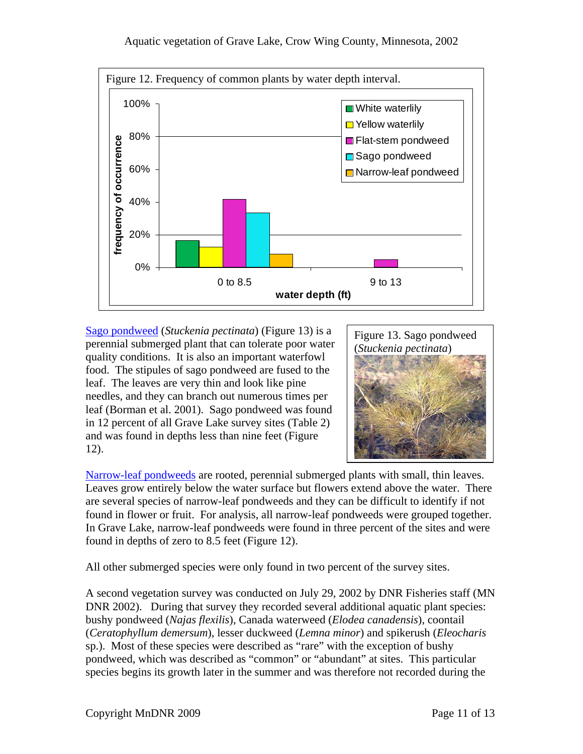

[Sago pondweed](http://www.dnr.state.mn.us/aquatic_plants/submerged_plants/narrowleaf_pondweeds.html) (*Stuckenia pectinata*) (Figure 13) is a perennial submerged plant that can tolerate poor water quality conditions. It is also an important waterfowl food. The stipules of sago pondweed are fused to the leaf. The leaves are very thin and look like pine needles, and they can branch out numerous times per leaf (Borman et al. 2001). Sago pondweed was found in 12 percent of all Grave Lake survey sites (Table 2) and was found in depths less than nine feet (Figure 12).



[Narrow-leaf pondweeds](http://www.dnr.state.mn.us/aquatic_plants/submerged_plants/narrowleaf_pondweeds.html) are rooted, perennial submerged plants with small, thin leaves. Leaves grow entirely below the water surface but flowers extend above the water. There are several species of narrow-leaf pondweeds and they can be difficult to identify if not found in flower or fruit. For analysis, all narrow-leaf pondweeds were grouped together. In Grave Lake, narrow-leaf pondweeds were found in three percent of the sites and were found in depths of zero to 8.5 feet (Figure 12).

All other submerged species were only found in two percent of the survey sites.

A second vegetation survey was conducted on July 29, 2002 by DNR Fisheries staff (MN DNR 2002). During that survey they recorded several additional aquatic plant species: bushy pondweed (*Najas flexilis*), Canada waterweed (*Elodea canadensis*), coontail (*Ceratophyllum demersum*), lesser duckweed (*Lemna minor*) and spikerush (*Eleocharis* sp.). Most of these species were described as "rare" with the exception of bushy pondweed, which was described as "common" or "abundant" at sites. This particular species begins its growth later in the summer and was therefore not recorded during the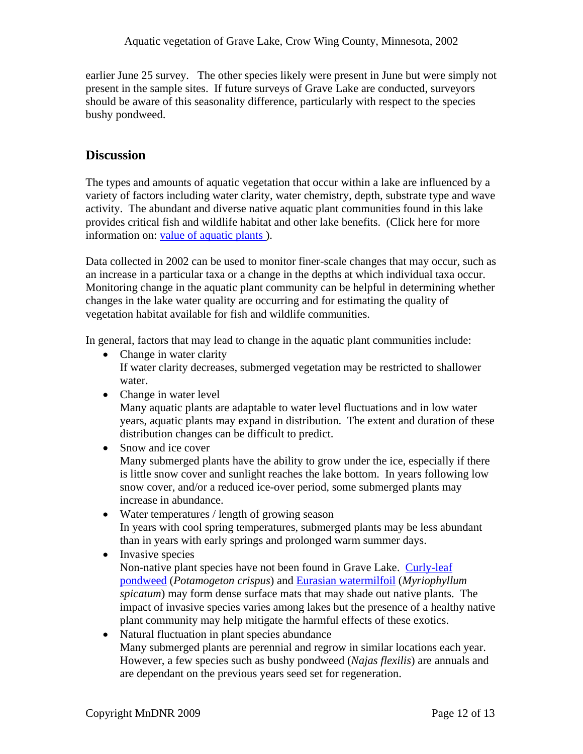earlier June 25 survey. The other species likely were present in June but were simply not present in the sample sites. If future surveys of Grave Lake are conducted, surveyors should be aware of this seasonality difference, particularly with respect to the species bushy pondweed.

# **Discussion**

The types and amounts of aquatic vegetation that occur within a lake are influenced by a variety of factors including water clarity, water chemistry, depth, substrate type and wave activity. The abundant and diverse native aquatic plant communities found in this lake provides critical fish and wildlife habitat and other lake benefits. (Click here for more information on: [value of aquatic plants](http://www.dnr.state.mn.us/shorelandmgmt/apg/value.html) ).

Data collected in 2002 can be used to monitor finer-scale changes that may occur, such as an increase in a particular taxa or a change in the depths at which individual taxa occur. Monitoring change in the aquatic plant community can be helpful in determining whether changes in the lake water quality are occurring and for estimating the quality of vegetation habitat available for fish and wildlife communities.

In general, factors that may lead to change in the aquatic plant communities include:

- Change in water clarity If water clarity decreases, submerged vegetation may be restricted to shallower water.
- Change in water level

Many aquatic plants are adaptable to water level fluctuations and in low water years, aquatic plants may expand in distribution. The extent and duration of these distribution changes can be difficult to predict.

- Snow and ice cover Many submerged plants have the ability to grow under the ice, especially if there is little snow cover and sunlight reaches the lake bottom. In years following low snow cover, and/or a reduced ice-over period, some submerged plants may increase in abundance.
- Water temperatures / length of growing season In years with cool spring temperatures, submerged plants may be less abundant than in years with early springs and prolonged warm summer days.
- Invasive species Non-native plant species have not been found in Grave Lake. [Curly-leaf](http://www.dnr.state.mn.us/aquatic_plants/submerged_plants/curlyleaf_pondweed.html)  [pondweed](http://www.dnr.state.mn.us/aquatic_plants/submerged_plants/curlyleaf_pondweed.html) (*Potamogeton crispus*) and [Eurasian watermilfoil](http://www.dnr.state.mn.us/invasives/aquaticplants/milfoil/index.html) (*Myriophyllum spicatum*) may form dense surface mats that may shade out native plants. The impact of invasive species varies among lakes but the presence of a healthy native plant community may help mitigate the harmful effects of these exotics.
- Natural fluctuation in plant species abundance Many submerged plants are perennial and regrow in similar locations each year. However, a few species such as bushy pondweed (*Najas flexilis*) are annuals and are dependant on the previous years seed set for regeneration.